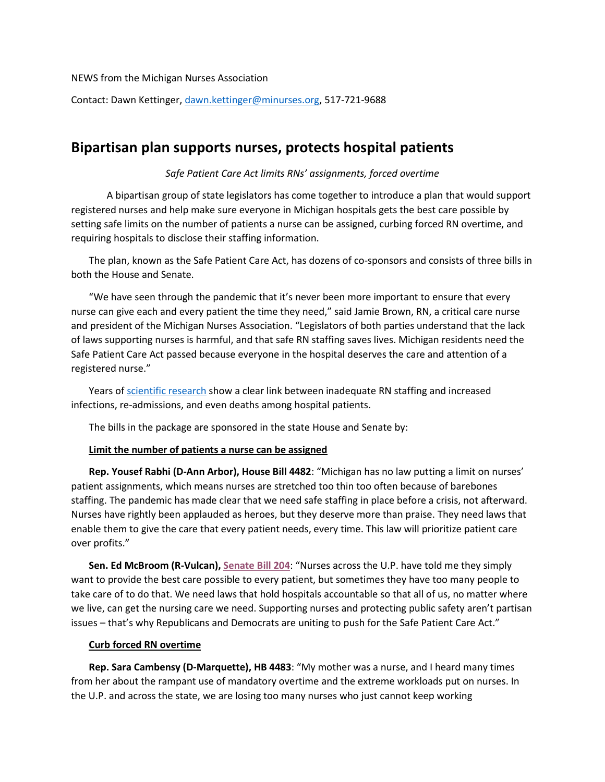NEWS from the Michigan Nurses Association

Contact: Dawn Kettinger, [dawn.kettinger@minurses.org,](mailto:dawn.kettinger@minurses.org) 517-721-9688

# **Bipartisan plan supports nurses, protects hospital patients**

# *Safe Patient Care Act limits RNs' assignments, forced overtime*

A bipartisan group of state legislators has come together to introduce a plan that would support registered nurses and help make sure everyone in Michigan hospitals gets the best care possible by setting safe limits on the number of patients a nurse can be assigned, curbing forced RN overtime, and requiring hospitals to disclose their staffing information.

The plan, known as the Safe Patient Care Act, has dozens of co-sponsors and consists of three bills in both the House and Senate.

"We have seen through the pandemic that it's never been more important to ensure that every nurse can give each and every patient the time they need," said Jamie Brown, RN, a critical care nurse and president of the Michigan Nurses Association. "Legislators of both parties understand that the lack of laws supporting nurses is harmful, and that safe RN staffing saves lives. Michigan residents need the Safe Patient Care Act passed because everyone in the hospital deserves the care and attention of a registered nurse."

Years of [scientific research](https://www.misaferhospitals.org/resources.html#researc) show a clear link between inadequate RN staffing and increased infections, re-admissions, and even deaths among hospital patients.

The bills in the package are sponsored in the state House and Senate by:

### **Limit the number of patients a nurse can be assigned**

**Rep. Yousef Rabhi (D-Ann Arbor), House Bill 4482**: "Michigan has no law putting a limit on nurses' patient assignments, which means nurses are stretched too thin too often because of barebones staffing. The pandemic has made clear that we need safe staffing in place before a crisis, not afterward. Nurses have rightly been applauded as heroes, but they deserve more than praise. They need laws that enable them to give the care that every patient needs, every time. This law will prioritize patient care over profits."

**Sen. Ed McBroom (R-Vulcan), [Senate Bill 204](https://www.legislature.mi.gov/(S(bckhrjhmvrxojfloizkvgdtw))/mileg.aspx?page=getObject&objectName=2021-SB-0204)**: "Nurses across the U.P. have told me they simply want to provide the best care possible to every patient, but sometimes they have too many people to take care of to do that. We need laws that hold hospitals accountable so that all of us, no matter where we live, can get the nursing care we need. Supporting nurses and protecting public safety aren't partisan issues – that's why Republicans and Democrats are uniting to push for the Safe Patient Care Act."

### **Curb forced RN overtime**

**Rep. Sara Cambensy (D-Marquette), HB 4483**: "My mother was a nurse, and I heard many times from her about the rampant use of mandatory overtime and the extreme workloads put on nurses. In the U.P. and across the state, we are losing too many nurses who just cannot keep working